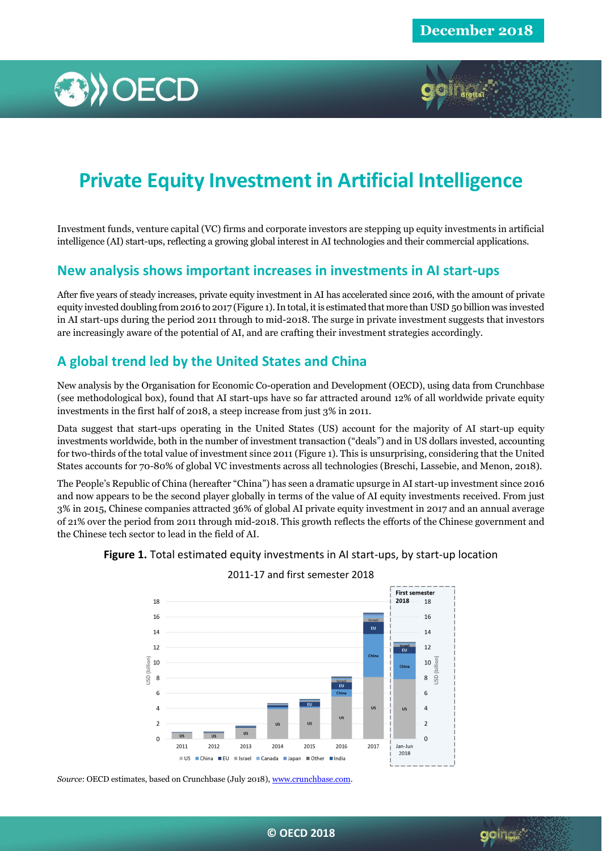



Investment funds, venture capital (VC) firms and corporate investors are stepping up equity investments in artificial intelligence (AI) start-ups, reflecting a growing global interest in AI technologies and their commercial applications.

## **New analysis shows important increases in investments in AI start-ups**

After five years of steady increases, private equity investment in AI has accelerated since 2016, with the amount of private equity invested doubling from 2016 to 2017 (Figure 1). In total, it is estimated that more than USD 50 billion was invested in AI start-ups during the period 2011 through to mid-2018. The surge in private investment suggests that investors are increasingly aware of the potential of AI, and are crafting their investment strategies accordingly.

# **A global trend led by the United States and China**

New analysis by the Organisation for Economic Co-operation and Development (OECD), using data from Crunchbase (see methodological box), found that AI start-ups have so far attracted around 12% of all worldwide private equity investments in the first half of 2018, a steep increase from just 3% in 2011.

Data suggest that start-ups operating in the United States (US) account for the majority of AI start-up equity investments worldwide, both in the number of investment transaction ("deals") and in US dollars invested, accounting for two-thirds of the total value of investment since 2011 (Figure 1). This is unsurprising, considering that the United States accounts for 70-80% of global VC investments across all technologies (Breschi, Lassebie, and Menon, 2018).

The People's Republic of China (hereafter "China") has seen a dramatic upsurge in AI start-up investment since 2016 and now appears to be the second player globally in terms of the value of AI equity investments received. From just 3% in 2015, Chinese companies attracted 36% of global AI private equity investment in 2017 and an annual average of 21% over the period from 2011 through mid-2018. This growth reflects the efforts of the Chinese government and the Chinese tech sector to lead in the field of AI.





2011-17 and first semester 2018

*Source*: OECD estimates, based on Crunchbase (July 2018)[, www.crunchbase.com.](http://www.crunchbase.com/)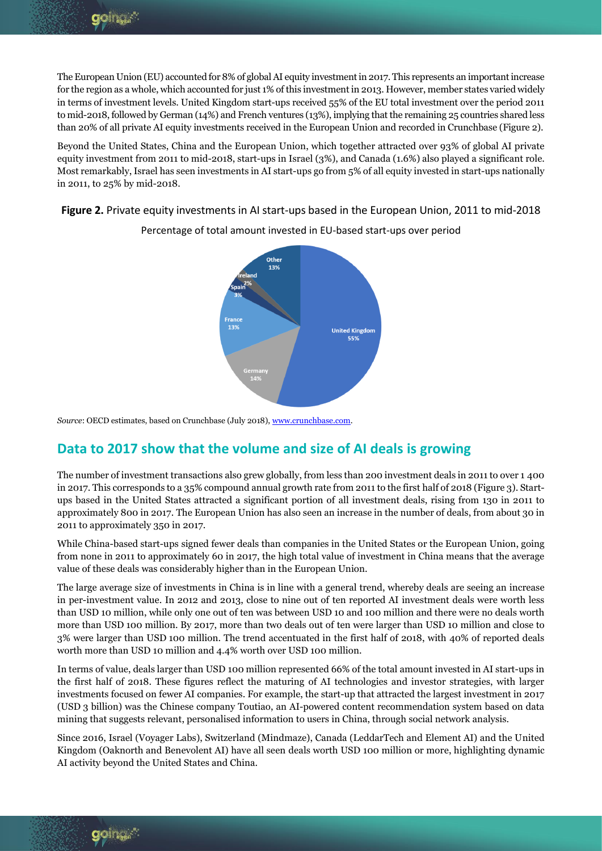The European Union (EU) accounted for 8% of global AI equity investment in 2017. This represents an important increase for the region as a whole, which accounted for just 1% of this investment in 2013. However, member states varied widely in terms of investment levels. United Kingdom start-ups received 55% of the EU total investment over the period 2011 to mid-2018, followed by German (14%) and French ventures (13%), implying that the remaining 25 countries shared less than 20% of all private AI equity investments received in the European Union and recorded in Crunchbase (Figure 2).

Beyond the United States, China and the European Union, which together attracted over 93% of global AI private equity investment from 2011 to mid-2018, start-ups in Israel (3%), and Canada (1.6%) also played a significant role. Most remarkably, Israel has seen investments in AI start-ups go from 5% of all equity invested in start-ups nationally in 2011, to 25% by mid-2018.

**Figure 2.** Private equity investments in AI start-ups based in the European Union, 2011 to mid-2018



Percentage of total amount invested in EU-based start-ups over period

*Source*: OECD estimates, based on Crunchbase (July 2018)[, www.crunchbase.com.](http://www.crunchbase.com/)

# **Data to 2017 show that the volume and size of AI deals is growing**

The number of investment transactions also grew globally, from less than 200 investment deals in 2011 to over 1 400 in 2017. This corresponds to a 35% compound annual growth rate from 2011 to the first half of 2018 (Figure 3). Startups based in the United States attracted a significant portion of all investment deals, rising from 130 in 2011 to approximately 800 in 2017. The European Union has also seen an increase in the number of deals, from about 30 in 2011 to approximately 350 in 2017.

While China-based start-ups signed fewer deals than companies in the United States or the European Union, going from none in 2011 to approximately 60 in 2017, the high total value of investment in China means that the average value of these deals was considerably higher than in the European Union.

The large average size of investments in China is in line with a general trend, whereby deals are seeing an increase in per-investment value. In 2012 and 2013, close to nine out of ten reported AI investment deals were worth less than USD 10 million, while only one out of ten was between USD 10 and 100 million and there were no deals worth more than USD 100 million. By 2017, more than two deals out of ten were larger than USD 10 million and close to 3% were larger than USD 100 million. The trend accentuated in the first half of 2018, with 40% of reported deals worth more than USD 10 million and 4.4% worth over USD 100 million.

In terms of value, deals larger than USD 100 million represented 66% of the total amount invested in AI start-ups in the first half of 2018. These figures reflect the maturing of AI technologies and investor strategies, with larger investments focused on fewer AI companies. For example, the start-up that attracted the largest investment in 2017 (USD 3 billion) was the Chinese company Toutiao, an AI-powered content recommendation system based on data mining that suggests relevant, personalised information to users in China, through social network analysis.

Since 2016, Israel (Voyager Labs), Switzerland (Mindmaze), Canada (LeddarTech and Element AI) and the United Kingdom (Oaknorth and Benevolent AI) have all seen deals worth USD 100 million or more, highlighting dynamic AI activity beyond the United States and China.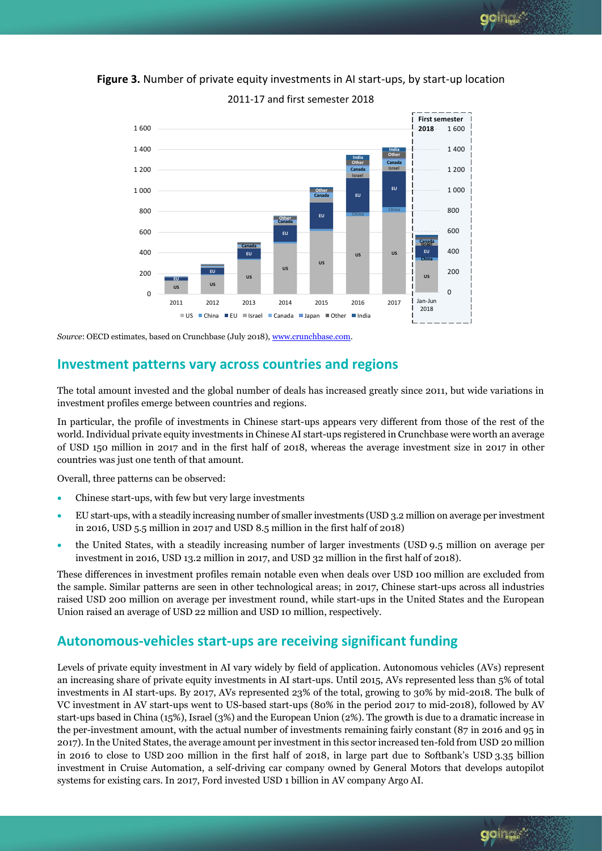goin<sub>tea</sub>."



**Figure 3.** Number of private equity investments in AI start-ups, by start-up location

2011-17 and first semester 2018

*Source*: OECD estimates, based on Crunchbase (July 2018)[, www.crunchbase.com.](http://www.crunchbase.com/)

## **Investment patterns vary across countries and regions**

The total amount invested and the global number of deals has increased greatly since 2011, but wide variations in investment profiles emerge between countries and regions.

In particular, the profile of investments in Chinese start-ups appears very different from those of the rest of the world.Individual private equity investments in Chinese AI start-ups registered in Crunchbase were worth an average of USD 150 million in 2017 and in the first half of 2018, whereas the average investment size in 2017 in other countries was just one tenth of that amount.

Overall, three patterns can be observed:

- Chinese start-ups, with few but very large investments
- EU start-ups, with a steadily increasing number of smaller investments (USD 3.2 million on average per investment in 2016, USD 5.5 million in 2017 and USD 8.5 million in the first half of 2018)
- the United States, with a steadily increasing number of larger investments (USD 9.5 million on average per investment in 2016, USD 13.2 million in 2017, and USD 32 million in the first half of 2018).

These differences in investment profiles remain notable even when deals over USD 100 million are excluded from the sample. Similar patterns are seen in other technological areas; in 2017, Chinese start-ups across all industries raised USD 200 million on average per investment round, while start-ups in the United States and the European Union raised an average of USD 22 million and USD 10 million, respectively.

## **Autonomous-vehicles start-ups are receiving significant funding**

Levels of private equity investment in AI vary widely by field of application. Autonomous vehicles (AVs) represent an increasing share of private equity investments in AI start-ups. Until 2015, AVs represented less than 5% of total investments in AI start-ups. By 2017, AVs represented 23% of the total, growing to 30% by mid-2018. The bulk of VC investment in AV start-ups went to US-based start-ups (80% in the period 2017 to mid-2018), followed by AV start-ups based in China (15%), Israel (3%) and the European Union (2%). The growth is due to a dramatic increase in the per-investment amount, with the actual number of investments remaining fairly constant (87 in 2016 and 95 in 2017). In the United States, the average amount per investment in this sector increased ten-fold from USD 20 million in 2016 to close to USD 200 million in the first half of 2018, in large part due to Softbank's USD 3.35 billion investment in Cruise Automation, a self-driving car company owned by General Motors that develops autopilot systems for existing cars. In 2017, Ford invested USD 1 billion in AV company Argo AI.